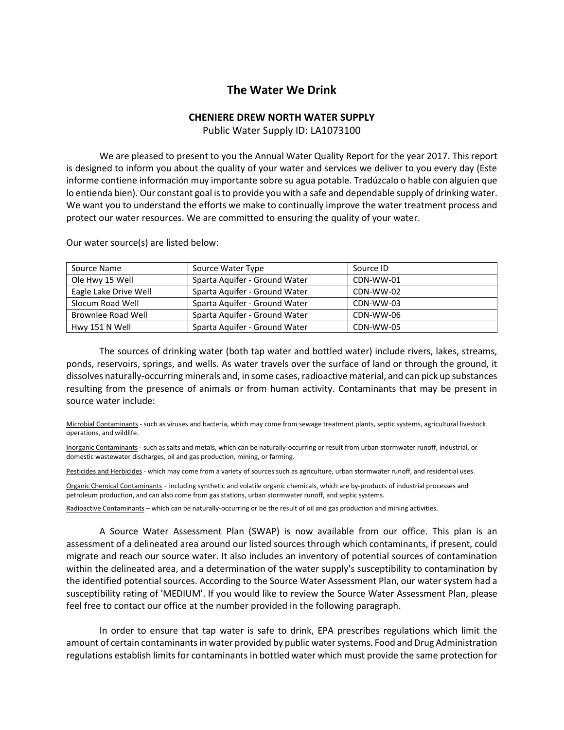## **The Water We Drink**

## **CHENIERE DREW NORTH WATER SUPPLY**

Public Water Supply ID: LA1073100

We are pleased to present to you the Annual Water Quality Report for the year 2017. This report is designed to inform you about the quality of your water and services we deliver to you every day (Este informe contiene información muy importante sobre su agua potable. Tradúzcalo o hable con alguien que lo entienda bien). Our constant goal is to provide you with a safe and dependable supply of drinking water. We want you to understand the efforts we make to continually improve the water treatment process and protect our water resources. We are committed to ensuring the quality of your water.

| Source Name           | Source Water Type             | Source ID |
|-----------------------|-------------------------------|-----------|
| Ole Hwy 15 Well       | Sparta Aquifer - Ground Water | CDN-WW-01 |
| Eagle Lake Drive Well | Sparta Aquifer - Ground Water | CDN-WW-02 |
| Slocum Road Well      | Sparta Aguifer - Ground Water | CDN-WW-03 |
| Brownlee Road Well    | Sparta Aquifer - Ground Water | CDN-WW-06 |
| Hwy 151 N Well        | Sparta Aguifer - Ground Water | CDN-WW-05 |

Our water source(s) are listed below:

The sources of drinking water (both tap water and bottled water) include rivers, lakes, streams, ponds, reservoirs, springs, and wells. As water travels over the surface of land or through the ground, it dissolves naturally-occurring minerals and, in some cases, radioactive material, and can pick up substances resulting from the presence of animals or from human activity. Contaminants that may be present in source water include:

Microbial Contaminants - such as viruses and bacteria, which may come from sewage treatment plants, septic systems, agricultural livestock operations, and wildlife.

Inorganic Contaminants - such as salts and metals, which can be naturally-occurring or result from urban stormwater runoff, industrial, or domestic wastewater discharges, oil and gas production, mining, or farming.

Pesticides and Herbicides - which may come from a variety of sources such as agriculture, urban stormwater runoff, and residential uses.

Organic Chemical Contaminants – including synthetic and volatile organic chemicals, which are by-products of industrial processes and petroleum production, and can also come from gas stations, urban stormwater runoff, and septic systems.

Radioactive Contaminants – which can be naturally-occurring or be the result of oil and gas production and mining activities.

A Source Water Assessment Plan (SWAP) is now available from our office. This plan is an assessment of a delineated area around our listed sources through which contaminants, if present, could migrate and reach our source water. It also includes an inventory of potential sources of contamination within the delineated area, and a determination of the water supply's susceptibility to contamination by the identified potential sources. According to the Source Water Assessment Plan, our water system had a susceptibility rating of 'MEDIUM'. If you would like to review the Source Water Assessment Plan, please feel free to contact our office at the number provided in the following paragraph.

In order to ensure that tap water is safe to drink, EPA prescribes regulations which limit the amount of certain contaminants in water provided by public water systems. Food and Drug Administration regulations establish limits for contaminants in bottled water which must provide the same protection for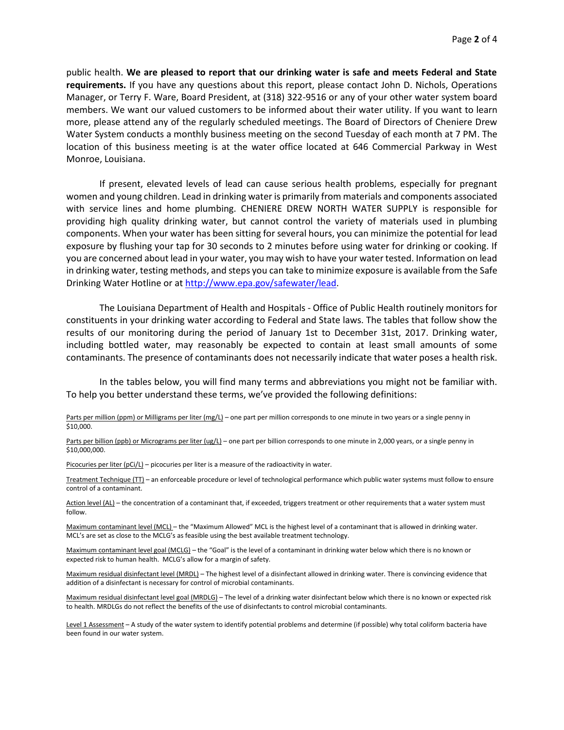public health. **We are pleased to report that our drinking water is safe and meets Federal and State requirements.** If you have any questions about this report, please contact John D. Nichols, Operations Manager, or Terry F. Ware, Board President, at (318) 322-9516 or any of your other water system board members. We want our valued customers to be informed about their water utility. If you want to learn more, please attend any of the regularly scheduled meetings. The Board of Directors of Cheniere Drew Water System conducts a monthly business meeting on the second Tuesday of each month at 7 PM. The location of this business meeting is at the water office located at 646 Commercial Parkway in West Monroe, Louisiana.

If present, elevated levels of lead can cause serious health problems, especially for pregnant women and young children. Lead in drinking water is primarily from materials and components associated with service lines and home plumbing. CHENIERE DREW NORTH WATER SUPPLY is responsible for providing high quality drinking water, but cannot control the variety of materials used in plumbing components. When your water has been sitting for several hours, you can minimize the potential for lead exposure by flushing your tap for 30 seconds to 2 minutes before using water for drinking or cooking. If you are concerned about lead in your water, you may wish to have your water tested. Information on lead in drinking water, testing methods, and steps you can take to minimize exposure is available from the Safe Drinking Water Hotline or at [http://www.epa.gov/safewater/lead.](http://www.epa.gov/safewater/lead)

The Louisiana Department of Health and Hospitals - Office of Public Health routinely monitors for constituents in your drinking water according to Federal and State laws. The tables that follow show the results of our monitoring during the period of January 1st to December 31st, 2017. Drinking water, including bottled water, may reasonably be expected to contain at least small amounts of some contaminants. The presence of contaminants does not necessarily indicate that water poses a health risk.

In the tables below, you will find many terms and abbreviations you might not be familiar with. To help you better understand these terms, we've provided the following definitions:

Parts per million (ppm) or Milligrams per liter (mg/L) – one part per million corresponds to one minute in two years or a single penny in \$10,000.

Parts per billion (ppb) or Micrograms per liter (ug/L) – one part per billion corresponds to one minute in 2,000 years, or a single penny in \$10,000,000.

Picocuries per liter (pCi/L) – picocuries per liter is a measure of the radioactivity in water.

Treatment Technique (TT) – an enforceable procedure or level of technological performance which public water systems must follow to ensure control of a contaminant.

Action level (AL) – the concentration of a contaminant that, if exceeded, triggers treatment or other requirements that a water system must follow.

Maximum contaminant level (MCL) – the "Maximum Allowed" MCL is the highest level of a contaminant that is allowed in drinking water. MCL's are set as close to the MCLG's as feasible using the best available treatment technology.

Maximum contaminant level goal (MCLG) – the "Goal" is the level of a contaminant in drinking water below which there is no known or expected risk to human health. MCLG's allow for a margin of safety.

Maximum residual disinfectant level (MRDL) – The highest level of a disinfectant allowed in drinking water. There is convincing evidence that addition of a disinfectant is necessary for control of microbial contaminants.

Maximum residual disinfectant level goal (MRDLG) – The level of a drinking water disinfectant below which there is no known or expected risk to health. MRDLGs do not reflect the benefits of the use of disinfectants to control microbial contaminants.

Level 1 Assessment - A study of the water system to identify potential problems and determine (if possible) why total coliform bacteria have been found in our water system.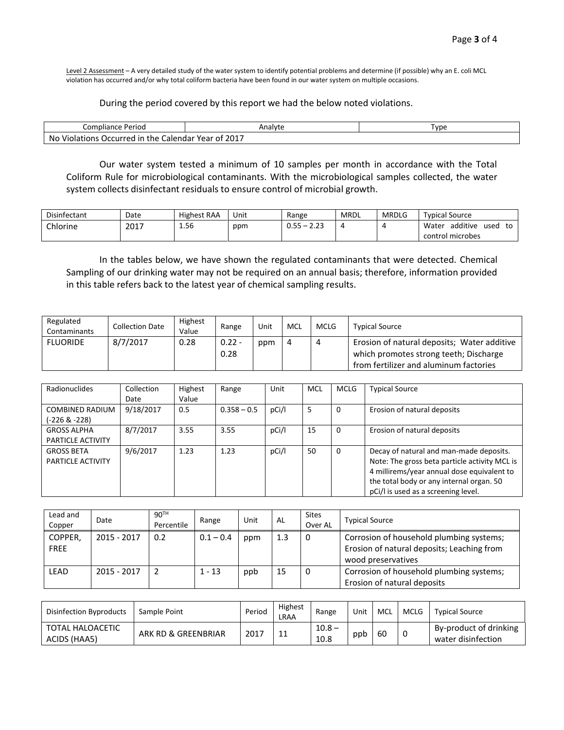Level 2 Assessment - A very detailed study of the water system to identify potential problems and determine (if possible) why an E. coli MCL violation has occurred and/or why total coliform bacteria have been found in our water system on multiple occasions.

## During the period covered by this report we had the below noted violations.

| Compliance Period                                             | Analyte | I vpe |
|---------------------------------------------------------------|---------|-------|
| No<br>Violations<br>Occurred<br>Calendar Year of<br>the<br>ın |         |       |

Our water system tested a minimum of 10 samples per month in accordance with the Total Coliform Rule for microbiological contaminants. With the microbiological samples collected, the water system collects disinfectant residuals to ensure control of microbial growth.

| Disinfectant    | Date | <b>Highest RAA</b> | Unit | Range                                       | <b>MRDL</b> | <b>MRDLG</b> | <b>Typical Source</b>           |
|-----------------|------|--------------------|------|---------------------------------------------|-------------|--------------|---------------------------------|
| <b>Chlorine</b> | 2017 | 1.56<br>__         | ppm  | $\sim$ $\sim$<br>$\sim$<br><u></u><br>ັບ.ບປ |             |              | additive<br>Water<br>used<br>to |
|                 |      |                    |      |                                             |             |              | control microbes                |

In the tables below, we have shown the regulated contaminants that were detected. Chemical Sampling of our drinking water may not be required on an annual basis; therefore, information provided in this table refers back to the latest year of chemical sampling results.

| Regulated<br>Contaminants | <b>Collection Date</b> | <b>Highest</b><br>Value | Range            | Unit | MCL | <b>MCLG</b> | <b>Typical Source</b>                                                                                                           |
|---------------------------|------------------------|-------------------------|------------------|------|-----|-------------|---------------------------------------------------------------------------------------------------------------------------------|
| <b>FLUORIDE</b>           | 8/7/2017               | 0.28                    | $0.22 -$<br>0.28 | ppm  | -4  |             | Erosion of natural deposits; Water additive<br>which promotes strong teeth; Discharge<br>from fertilizer and aluminum factories |

| Radionuclides                           | Collection<br>Date | Highest<br>Value | Range         | Unit  | <b>MCL</b> | <b>MCLG</b> | <b>Typical Source</b>                                                                                                                                                                                                     |
|-----------------------------------------|--------------------|------------------|---------------|-------|------------|-------------|---------------------------------------------------------------------------------------------------------------------------------------------------------------------------------------------------------------------------|
| <b>COMBINED RADIUM</b><br>(-226 & -228) | 9/18/2017          | 0.5              | $0.358 - 0.5$ | pCi/l | 5          | 0           | Erosion of natural deposits                                                                                                                                                                                               |
| <b>GROSS ALPHA</b><br>PARTICLE ACTIVITY | 8/7/2017           | 3.55             | 3.55          | pCi/l | 15         | 0           | Erosion of natural deposits                                                                                                                                                                                               |
| <b>GROSS BETA</b><br>PARTICLE ACTIVITY  | 9/6/2017           | 1.23             | 1.23          | pCi/l | 50         | 0           | Decay of natural and man-made deposits.<br>Note: The gross beta particle activity MCL is<br>4 millirems/year annual dose equivalent to<br>the total body or any internal organ. 50<br>pCi/l is used as a screening level. |

| Lead and<br>Copper     | Date        | 90 <sup>TH</sup><br>Percentile | Range       | Unit | AL  | <b>Sites</b><br>Over AL | <b>Typical Source</b>                                                                                        |
|------------------------|-------------|--------------------------------|-------------|------|-----|-------------------------|--------------------------------------------------------------------------------------------------------------|
| COPPER,<br><b>FREE</b> | 2015 - 2017 | 0.2                            | $0.1 - 0.4$ | ppm  | 1.3 | 0                       | Corrosion of household plumbing systems;<br>Erosion of natural deposits; Leaching from<br>wood preservatives |
| <b>LEAD</b>            | 2015 - 2017 |                                | $1 - 13$    | ppb  | 15  | 0                       | Corrosion of household plumbing systems;<br>Erosion of natural deposits                                      |

| Disinfection Byproducts          | Sample Point        | Period | Highest<br>LRAA | Range            | Unit | MCL | MCLG | <b>Typical Source</b>                        |
|----------------------------------|---------------------|--------|-----------------|------------------|------|-----|------|----------------------------------------------|
| TOTAL HALOACETIC<br>ACIDS (HAA5) | ARK RD & GREENBRIAR | 2017   |                 | $10.8 -$<br>10.8 | ppb  | 60  | -0   | By-product of drinking<br>water disinfection |